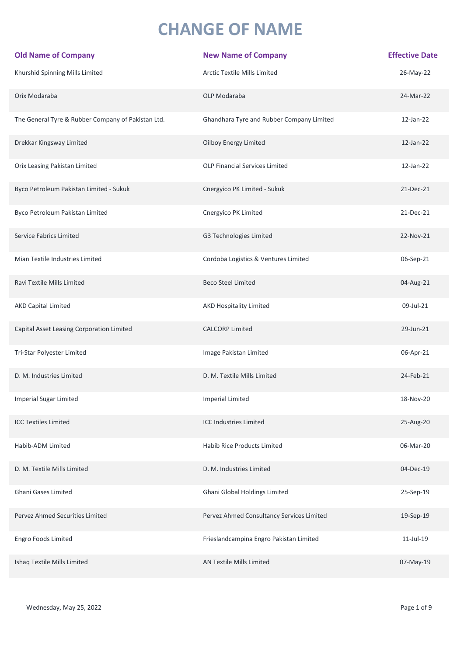## **CHANGE OF NAME**

| <b>Old Name of Company</b>                         | <b>New Name of Company</b>                | <b>Effective Date</b> |
|----------------------------------------------------|-------------------------------------------|-----------------------|
| Khurshid Spinning Mills Limited                    | Arctic Textile Mills Limited              | 26-May-22             |
| Orix Modaraba                                      | OLP Modaraba                              | 24-Mar-22             |
| The General Tyre & Rubber Company of Pakistan Ltd. | Ghandhara Tyre and Rubber Company Limited | 12-Jan-22             |
| Drekkar Kingsway Limited                           | Oilboy Energy Limited                     | 12-Jan-22             |
| Orix Leasing Pakistan Limited                      | OLP Financial Services Limited            | 12-Jan-22             |
| Byco Petroleum Pakistan Limited - Sukuk            | Cnergyico PK Limited - Sukuk              | 21-Dec-21             |
| Byco Petroleum Pakistan Limited                    | Cnergyico PK Limited                      | 21-Dec-21             |
| <b>Service Fabrics Limited</b>                     | G3 Technologies Limited                   | 22-Nov-21             |
| Mian Textile Industries Limited                    | Cordoba Logistics & Ventures Limited      | 06-Sep-21             |
| Ravi Textile Mills Limited                         | <b>Beco Steel Limited</b>                 | 04-Aug-21             |
| <b>AKD Capital Limited</b>                         | <b>AKD Hospitality Limited</b>            | 09-Jul-21             |
| Capital Asset Leasing Corporation Limited          | <b>CALCORP Limited</b>                    | 29-Jun-21             |
| Tri-Star Polyester Limited                         | Image Pakistan Limited                    | 06-Apr-21             |
| D. M. Industries Limited                           | D. M. Textile Mills Limited               | 24-Feb-21             |
| <b>Imperial Sugar Limited</b>                      | <b>Imperial Limited</b>                   | 18-Nov-20             |
| <b>ICC Textiles Limited</b>                        | <b>ICC Industries Limited</b>             | 25-Aug-20             |
| Habib-ADM Limited                                  | <b>Habib Rice Products Limited</b>        | 06-Mar-20             |
| D. M. Textile Mills Limited                        | D. M. Industries Limited                  | 04-Dec-19             |
| Ghani Gases Limited                                | Ghani Global Holdings Limited             | 25-Sep-19             |
| Pervez Ahmed Securities Limited                    | Pervez Ahmed Consultancy Services Limited | 19-Sep-19             |
| Engro Foods Limited                                | Frieslandcampina Engro Pakistan Limited   | 11-Jul-19             |
| Ishaq Textile Mills Limited                        | AN Textile Mills Limited                  | 07-May-19             |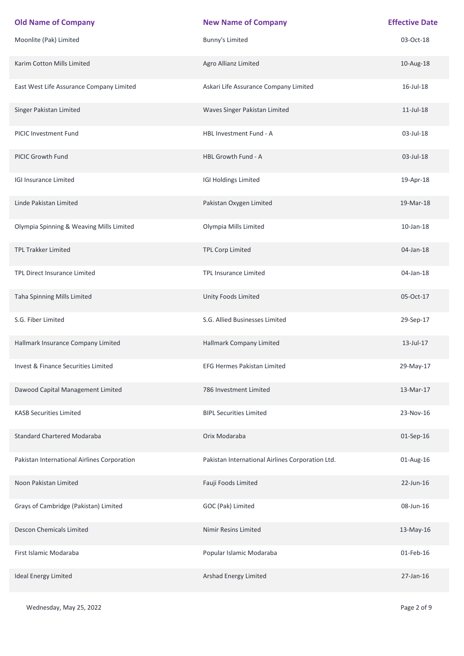| <b>Old Name of Company</b>                  | <b>New Name of Company</b>                       | <b>Effective Date</b> |
|---------------------------------------------|--------------------------------------------------|-----------------------|
| Moonlite (Pak) Limited                      | <b>Bunny's Limited</b>                           | 03-Oct-18             |
| Karim Cotton Mills Limited                  | Agro Allianz Limited                             | 10-Aug-18             |
| East West Life Assurance Company Limited    | Askari Life Assurance Company Limited            | 16-Jul-18             |
| Singer Pakistan Limited                     | Waves Singer Pakistan Limited                    | $11$ -Jul-18          |
| PICIC Investment Fund                       | HBL Investment Fund - A                          | 03-Jul-18             |
| PICIC Growth Fund                           | HBL Growth Fund - A                              | 03-Jul-18             |
| <b>IGI Insurance Limited</b>                | <b>IGI Holdings Limited</b>                      | 19-Apr-18             |
| Linde Pakistan Limited                      | Pakistan Oxygen Limited                          | 19-Mar-18             |
| Olympia Spinning & Weaving Mills Limited    | Olympia Mills Limited                            | $10$ -Jan- $18$       |
| TPL Trakker Limited                         | <b>TPL Corp Limited</b>                          | 04-Jan-18             |
| TPL Direct Insurance Limited                | TPL Insurance Limited                            | 04-Jan-18             |
| Taha Spinning Mills Limited                 | Unity Foods Limited                              | 05-Oct-17             |
| S.G. Fiber Limited                          | S.G. Allied Businesses Limited                   | 29-Sep-17             |
| Hallmark Insurance Company Limited          | Hallmark Company Limited                         | 13-Jul-17             |
| Invest & Finance Securities Limited         | EFG Hermes Pakistan Limited                      | 29-May-17             |
| Dawood Capital Management Limited           | 786 Investment Limited                           | 13-Mar-17             |
| <b>KASB Securities Limited</b>              | <b>BIPL Securities Limited</b>                   | 23-Nov-16             |
| <b>Standard Chartered Modaraba</b>          | Orix Modaraba                                    | 01-Sep-16             |
| Pakistan International Airlines Corporation | Pakistan International Airlines Corporation Ltd. | 01-Aug-16             |
| Noon Pakistan Limited                       | Fauji Foods Limited                              | 22-Jun-16             |
| Grays of Cambridge (Pakistan) Limited       | GOC (Pak) Limited                                | 08-Jun-16             |
| <b>Descon Chemicals Limited</b>             | Nimir Resins Limited                             | 13-May-16             |
| First Islamic Modaraba                      | Popular Islamic Modaraba                         | 01-Feb-16             |
| <b>Ideal Energy Limited</b>                 | Arshad Energy Limited                            | 27-Jan-16             |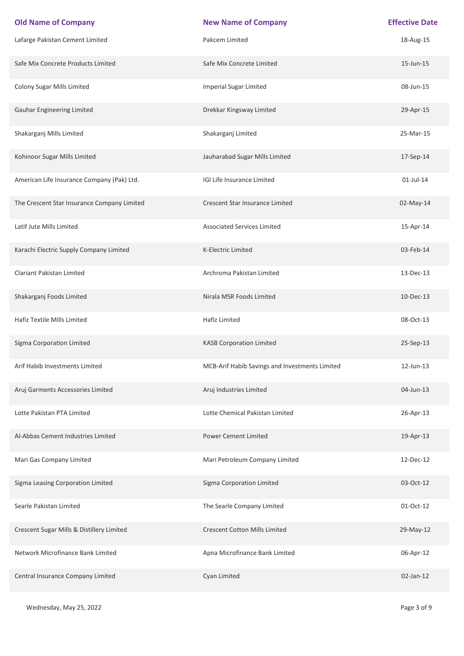| <b>Old Name of Company</b>                  | <b>New Name of Company</b>                     | <b>Effective Date</b> |
|---------------------------------------------|------------------------------------------------|-----------------------|
| Lafarge Pakistan Cement Limited             | Pakcem Limited                                 | 18-Aug-15             |
| Safe Mix Concrete Products Limited          | Safe Mix Concrete Limited                      | 15-Jun-15             |
| Colony Sugar Mills Limited                  | <b>Imperial Sugar Limited</b>                  | 08-Jun-15             |
| <b>Gauhar Engineering Limited</b>           | Drekkar Kingsway Limited                       | 29-Apr-15             |
| Shakarganj Mills Limited                    | Shakarganj Limited                             | 25-Mar-15             |
| Kohinoor Sugar Mills Limited                | Jauharabad Sugar Mills Limited                 | 17-Sep-14             |
| American Life Insurance Company (Pak) Ltd.  | IGI Life Insurance Limited                     | $01$ -Jul-14          |
| The Crescent Star Insurance Company Limited | Crescent Star Insurance Limited                | 02-May-14             |
| Latif Jute Mills Limited                    | <b>Associated Services Limited</b>             | 15-Apr-14             |
| Karachi Electric Supply Company Limited     | K-Electric Limited                             | 03-Feb-14             |
| <b>Clariant Pakistan Limited</b>            | Archroma Pakistan Limited                      | 13-Dec-13             |
| Shakarganj Foods Limited                    | Nirala MSR Foods Limited                       | 10-Dec-13             |
| Hafiz Textile Mills Limited                 | Hafiz Limited                                  | 08-Oct-13             |
| Sigma Corporation Limited                   | <b>KASB Corporation Limited</b>                | 25-Sep-13             |
| Arif Habib Investments Limited              | MCB-Arif Habib Savings and Investments Limited | 12-Jun-13             |
| Aruj Garments Accessories Limited           | Aruj Industries Limited                        | 04-Jun-13             |
| Lotte Pakistan PTA Limited                  | Lotte Chemical Pakistan Limited                | 26-Apr-13             |
| Al-Abbas Cement Industries Limited          | <b>Power Cement Limited</b>                    | 19-Apr-13             |
| Mari Gas Company Limited                    | Mari Petroleum Company Limited                 | 12-Dec-12             |
| Sigma Leasing Corporation Limited           | Sigma Corporation Limited                      | 03-Oct-12             |
| Searle Pakistan Limited                     | The Searle Company Limited                     | 01-Oct-12             |
| Crescent Sugar Mills & Distillery Limited   | <b>Crescent Cotton Mills Limited</b>           | 29-May-12             |
| Network Microfinance Bank Limited           | Apna Microfinance Bank Limited                 | 06-Apr-12             |
| Central Insurance Company Limited           | Cyan Limited                                   | 02-Jan-12             |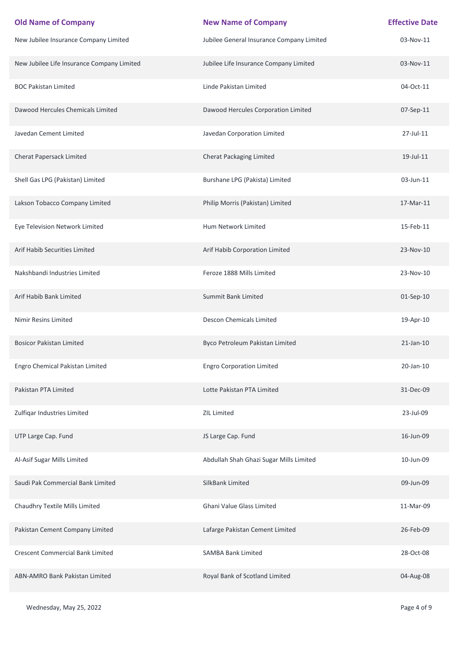| <b>Old Name of Company</b>                 | <b>New Name of Company</b>                | <b>Effective Date</b> |
|--------------------------------------------|-------------------------------------------|-----------------------|
| New Jubilee Insurance Company Limited      | Jubilee General Insurance Company Limited | 03-Nov-11             |
| New Jubilee Life Insurance Company Limited | Jubilee Life Insurance Company Limited    | 03-Nov-11             |
| <b>BOC Pakistan Limited</b>                | Linde Pakistan Limited                    | 04-Oct-11             |
| Dawood Hercules Chemicals Limited          | Dawood Hercules Corporation Limited       | 07-Sep-11             |
| Javedan Cement Limited                     | Javedan Corporation Limited               | 27-Jul-11             |
| Cherat Papersack Limited                   | <b>Cherat Packaging Limited</b>           | 19-Jul-11             |
| Shell Gas LPG (Pakistan) Limited           | Burshane LPG (Pakista) Limited            | 03-Jun-11             |
| Lakson Tobacco Company Limited             | Philip Morris (Pakistan) Limited          | 17-Mar-11             |
| Eye Television Network Limited             | Hum Network Limited                       | 15-Feb-11             |
| Arif Habib Securities Limited              | Arif Habib Corporation Limited            | 23-Nov-10             |
| Nakshbandi Industries Limited              | Feroze 1888 Mills Limited                 | 23-Nov-10             |
| Arif Habib Bank Limited                    | Summit Bank Limited                       | 01-Sep-10             |
| Nimir Resins Limited                       | Descon Chemicals Limited                  | 19-Apr-10             |
| <b>Bosicor Pakistan Limited</b>            | Byco Petroleum Pakistan Limited           | $21$ -Jan- $10$       |
| Engro Chemical Pakistan Limited            | <b>Engro Corporation Limited</b>          | 20-Jan-10             |
| Pakistan PTA Limited                       | Lotte Pakistan PTA Limited                | 31-Dec-09             |
| Zulfiqar Industries Limited                | <b>ZIL Limited</b>                        | 23-Jul-09             |
| UTP Large Cap. Fund                        | JS Large Cap. Fund                        | 16-Jun-09             |
| Al-Asif Sugar Mills Limited                | Abdullah Shah Ghazi Sugar Mills Limited   | 10-Jun-09             |
| Saudi Pak Commercial Bank Limited          | SilkBank Limited                          | 09-Jun-09             |
| Chaudhry Textile Mills Limited             | Ghani Value Glass Limited                 | 11-Mar-09             |
| Pakistan Cement Company Limited            | Lafarge Pakistan Cement Limited           | 26-Feb-09             |
| <b>Crescent Commercial Bank Limited</b>    | <b>SAMBA Bank Limited</b>                 | 28-Oct-08             |
| ABN-AMRO Bank Pakistan Limited             | Royal Bank of Scotland Limited            | 04-Aug-08             |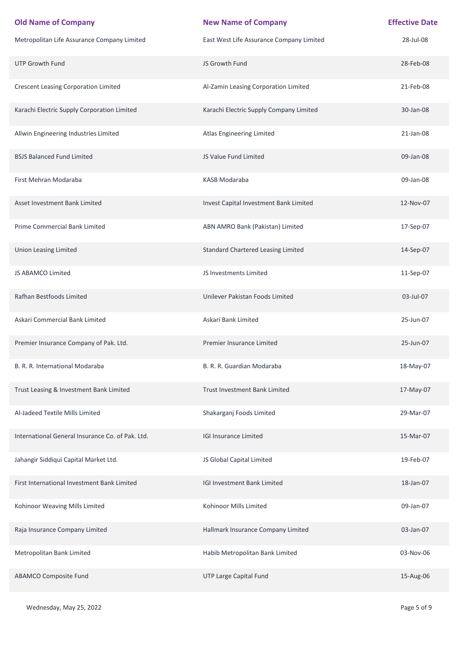| <b>Old Name of Company</b>                       | <b>New Name of Company</b>                | <b>Effective Date</b> |
|--------------------------------------------------|-------------------------------------------|-----------------------|
| Metropolitan Life Assurance Company Limited      | East West Life Assurance Company Limited  | 28-Jul-08             |
| <b>UTP Growth Fund</b>                           | JS Growth Fund                            | 28-Feb-08             |
| <b>Crescent Leasing Corporation Limited</b>      | Al-Zamin Leasing Corporation Limited      | 21-Feb-08             |
| Karachi Electric Supply Corporation Limited      | Karachi Electric Supply Company Limited   | 30-Jan-08             |
| Allwin Engineering Industries Limited            | Atlas Engineering Limited                 | 21-Jan-08             |
| <b>BSJS Balanced Fund Limited</b>                | JS Value Fund Limited                     | 09-Jan-08             |
| First Mehran Modaraba                            | KASB Modaraba                             | 09-Jan-08             |
| Asset Investment Bank Limited                    | Invest Capital Investment Bank Limited    | 12-Nov-07             |
| Prime Commercial Bank Limited                    | ABN AMRO Bank (Pakistan) Limited          | 17-Sep-07             |
| <b>Union Leasing Limited</b>                     | <b>Standard Chartered Leasing Limited</b> | 14-Sep-07             |
| <b>JS ABAMCO Limited</b>                         | JS Investments Limited                    | 11-Sep-07             |
| Rafhan Bestfoods Limited                         | Unilever Pakistan Foods Limited           | 03-Jul-07             |
| Askari Commercial Bank Limited                   | Askari Bank Limited                       | 25-Jun-07             |
| Premier Insurance Company of Pak. Ltd.           | Premier Insurance Limited                 | 25-Jun-07             |
| B. R. R. International Modaraba                  | B. R. R. Guardian Modaraba                | 18-May-07             |
| Trust Leasing & Investment Bank Limited          | Trust Investment Bank Limited             | 17-May-07             |
| Al-Jadeed Textile Mills Limited                  | Shakarganj Foods Limited                  | 29-Mar-07             |
| International General Insurance Co. of Pak. Ltd. | <b>IGI Insurance Limited</b>              | 15-Mar-07             |
| Jahangir Siddiqui Capital Market Ltd.            | JS Global Capital Limited                 | 19-Feb-07             |
| First International Investment Bank Limited      | <b>IGI Investment Bank Limited</b>        | 18-Jan-07             |
| Kohinoor Weaving Mills Limited                   | Kohinoor Mills Limited                    | 09-Jan-07             |
| Raja Insurance Company Limited                   | Hallmark Insurance Company Limited        | 03-Jan-07             |
| Metropolitan Bank Limited                        | Habib Metropolitan Bank Limited           | 03-Nov-06             |
| <b>ABAMCO Composite Fund</b>                     | UTP Large Capital Fund                    | 15-Aug-06             |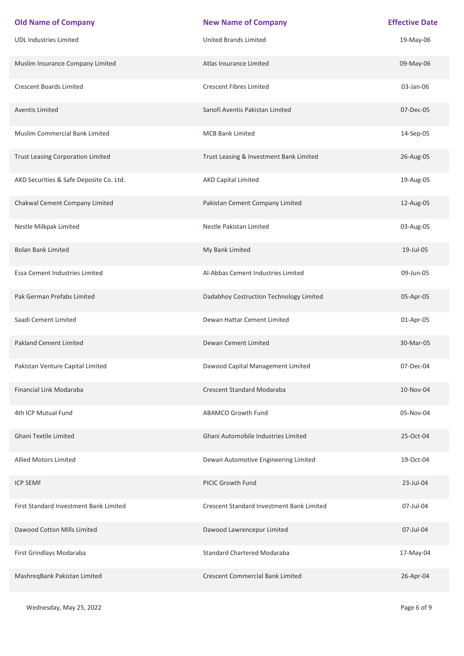| <b>Old Name of Company</b>               | <b>New Name of Company</b>                | <b>Effective Date</b> |
|------------------------------------------|-------------------------------------------|-----------------------|
| <b>UDL Industries Limited</b>            | <b>United Brands Limited</b>              | 19-May-06             |
| Muslim Insurance Company Limited         | Atlas Insurance Limited                   | 09-May-06             |
| <b>Crescent Boards Limited</b>           | <b>Crescent Fibres Limited</b>            | 03-Jan-06             |
| <b>Aventis Limited</b>                   | Sanofi Aventis Pakistan Limited           | 07-Dec-05             |
| Muslim Commercial Bank Limited           | <b>MCB Bank Limited</b>                   | 14-Sep-05             |
| <b>Trust Leasing Corporation Limited</b> | Trust Leasing & Investment Bank Limited   | 26-Aug-05             |
| AKD Securities & Safe Deposite Co. Ltd.  | <b>AKD Capital Limited</b>                | 19-Aug-05             |
| Chakwal Cement Company Limited           | Pakistan Cement Company Limited           | 12-Aug-05             |
| Nestle Milkpak Limited                   | Nestle Pakistan Limited                   | 03-Aug-05             |
| <b>Bolan Bank Limited</b>                | My Bank Limited                           | 19-Jul-05             |
| Essa Cement Industries Limited           | Al-Abbas Cement Industries Limited        | 09-Jun-05             |
| Pak German Prefabs Limited               | Dadabhoy Costruction Technology Limited   | 05-Apr-05             |
| Saadi Cement Limited                     | Dewan Hattar Cement Limited               | 01-Apr-05             |
| <b>Pakland Cement Limited</b>            | Dewan Cement Limited                      | 30-Mar-05             |
| Pakistan Venture Capital Limited         | Dawood Capital Management Limited         | 07-Dec-04             |
| Financial Link Modaraba                  | <b>Crescent Standard Modaraba</b>         | 10-Nov-04             |
| 4th ICP Mutual Fund                      | <b>ABAMCO Growth Fund</b>                 | 05-Nov-04             |
| <b>Ghani Textile Limited</b>             | Ghani Automobile Industries Limited       | 25-Oct-04             |
| <b>Allied Motors Limited</b>             | Dewan Automotive Engineering Limited      | 19-Oct-04             |
| <b>ICP SEMF</b>                          | <b>PICIC Growth Fund</b>                  | 23-Jul-04             |
| First Standard Investment Bank Limited   | Crescent Standard Investment Bank Limited | 07-Jul-04             |
| Dawood Cotton Mills Limited              | Dawood Lawrencepur Limited                | 07-Jul-04             |
| First Grindlays Modaraba                 | <b>Standard Chartered Modaraba</b>        | 17-May-04             |
| MashreqBank Pakistan Limited             | <b>Crescent Commercial Bank Limited</b>   | 26-Apr-04             |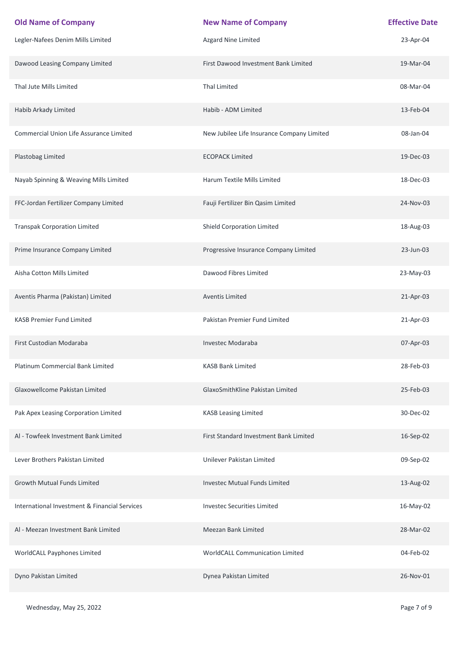| <b>Old Name of Company</b>                    | <b>New Name of Company</b>                 | <b>Effective Date</b> |
|-----------------------------------------------|--------------------------------------------|-----------------------|
| Legler-Nafees Denim Mills Limited             | Azgard Nine Limited                        | 23-Apr-04             |
| Dawood Leasing Company Limited                | First Dawood Investment Bank Limited       | 19-Mar-04             |
| Thal Jute Mills Limited                       | <b>Thal Limited</b>                        | 08-Mar-04             |
| Habib Arkady Limited                          | Habib - ADM Limited                        | 13-Feb-04             |
| Commercial Union Life Assurance Limited       | New Jubilee Life Insurance Company Limited | 08-Jan-04             |
| Plastobag Limited                             | <b>ECOPACK Limited</b>                     | 19-Dec-03             |
| Nayab Spinning & Weaving Mills Limited        | Harum Textile Mills Limited                | 18-Dec-03             |
| FFC-Jordan Fertilizer Company Limited         | Fauji Fertilizer Bin Qasim Limited         | 24-Nov-03             |
| <b>Transpak Corporation Limited</b>           | <b>Shield Corporation Limited</b>          | 18-Aug-03             |
| Prime Insurance Company Limited               | Progressive Insurance Company Limited      | 23-Jun-03             |
| Aisha Cotton Mills Limited                    | Dawood Fibres Limited                      | 23-May-03             |
| Aventis Pharma (Pakistan) Limited             | <b>Aventis Limited</b>                     | 21-Apr-03             |
| <b>KASB Premier Fund Limited</b>              | Pakistan Premier Fund Limited              | 21-Apr-03             |
| First Custodian Modaraba                      | <b>Investec Modaraba</b>                   | 07-Apr-03             |
| Platinum Commercial Bank Limited              | <b>KASB Bank Limited</b>                   | 28-Feb-03             |
| Glaxowellcome Pakistan Limited                | GlaxoSmithKline Pakistan Limited           | 25-Feb-03             |
| Pak Apex Leasing Corporation Limited          | <b>KASB Leasing Limited</b>                | 30-Dec-02             |
| Al - Towfeek Investment Bank Limited          | First Standard Investment Bank Limited     | 16-Sep-02             |
| Lever Brothers Pakistan Limited               | Unilever Pakistan Limited                  | 09-Sep-02             |
| <b>Growth Mutual Funds Limited</b>            | <b>Investec Mutual Funds Limited</b>       | 13-Aug-02             |
| International Investment & Financial Services | <b>Investec Securities Limited</b>         | 16-May-02             |
| Al - Meezan Investment Bank Limited           | <b>Meezan Bank Limited</b>                 | 28-Mar-02             |
| WorldCALL Payphones Limited                   | WorldCALL Communication Limited            | 04-Feb-02             |
| Dyno Pakistan Limited                         | Dynea Pakistan Limited                     | 26-Nov-01             |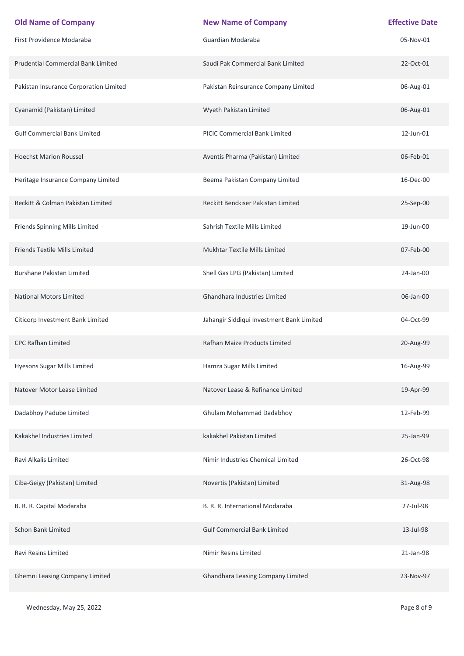| <b>Old Name of Company</b>                | <b>New Name of Company</b>                | <b>Effective Date</b> |
|-------------------------------------------|-------------------------------------------|-----------------------|
| First Providence Modaraba                 | Guardian Modaraba                         | 05-Nov-01             |
| <b>Prudential Commercial Bank Limited</b> | Saudi Pak Commercial Bank Limited         | 22-Oct-01             |
| Pakistan Insurance Corporation Limited    | Pakistan Reinsurance Company Limited      | 06-Aug-01             |
| Cyanamid (Pakistan) Limited               | Wyeth Pakistan Limited                    | 06-Aug-01             |
| <b>Gulf Commercial Bank Limited</b>       | PICIC Commercial Bank Limited             | 12-Jun-01             |
| <b>Hoechst Marion Roussel</b>             | Aventis Pharma (Pakistan) Limited         | 06-Feb-01             |
| Heritage Insurance Company Limited        | Beema Pakistan Company Limited            | 16-Dec-00             |
| Reckitt & Colman Pakistan Limited         | Reckitt Benckiser Pakistan Limited        | 25-Sep-00             |
| Friends Spinning Mills Limited            | Sahrish Textile Mills Limited             | 19-Jun-00             |
| Friends Textile Mills Limited             | <b>Mukhtar Textile Mills Limited</b>      | 07-Feb-00             |
| <b>Burshane Pakistan Limited</b>          | Shell Gas LPG (Pakistan) Limited          | 24-Jan-00             |
| <b>National Motors Limited</b>            | Ghandhara Industries Limited              | 06-Jan-00             |
| Citicorp Investment Bank Limited          | Jahangir Siddiqui Investment Bank Limited | 04-Oct-99             |
| <b>CPC Rafhan Limited</b>                 | <b>Rafhan Maize Products Limited</b>      | 20-Aug-99             |
| Hyesons Sugar Mills Limited               | Hamza Sugar Mills Limited                 | 16-Aug-99             |
| Natover Motor Lease Limited               | Natover Lease & Refinance Limited         | 19-Apr-99             |
| Dadabhoy Padube Limited                   | Ghulam Mohammad Dadabhoy                  | 12-Feb-99             |
| Kakakhel Industries Limited               | kakakhel Pakistan Limited                 | 25-Jan-99             |
| Ravi Alkalis Limited                      | Nimir Industries Chemical Limited         | 26-Oct-98             |
| Ciba-Geigy (Pakistan) Limited             | Novertis (Pakistan) Limited               | 31-Aug-98             |
| B. R. R. Capital Modaraba                 | B. R. R. International Modaraba           | 27-Jul-98             |
| <b>Schon Bank Limited</b>                 | <b>Gulf Commercial Bank Limited</b>       | 13-Jul-98             |
| Ravi Resins Limited                       | Nimir Resins Limited                      | 21-Jan-98             |
| <b>Ghemni Leasing Company Limited</b>     | Ghandhara Leasing Company Limited         | 23-Nov-97             |